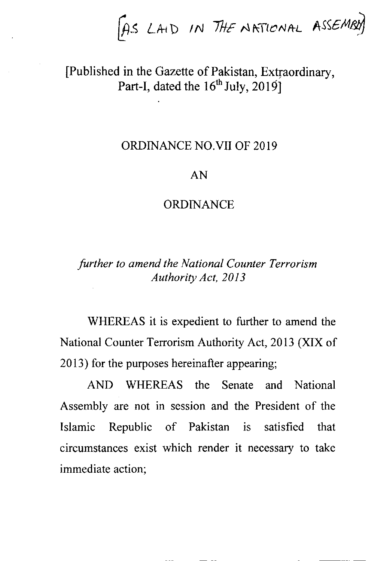f  $[AS LAI$  IN THE NATIONAL ASSEMENT

[Published in the Gazette of Pakistan, Extraordinary, Part-I, dated the  $16^{th}$  July, 20191

### ORDINANCE NO.VII OF 20 19

## AN

#### **ORDINANCE**

# further to amend the National Counter Terrorism Authority Act,2013

WHEREAS it is expedient to further to amend the National Counter Terrorism Authority Act,2013 (XIX of 2013) for the purposes hereinafter appearing;

AND WHEREAS the Senate and National Assembly are not in session and the President of the Islamic Republic of Pakistan is satisfied that circumstances exist which render it necessary to take immediate action;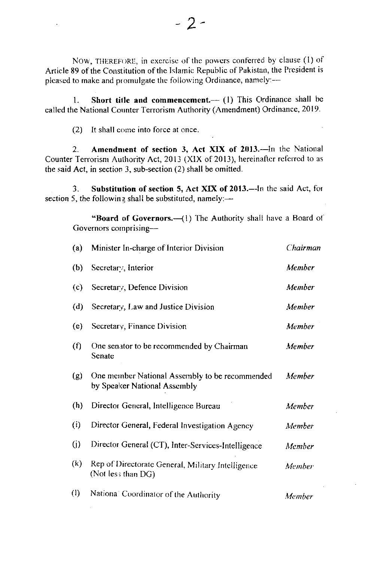NOW, THEREFORE, in exercise of the powers conferred by clause (1) of Article 89 of the Constitution of the Islamic Republic of Pakistan, the President is pleased to make and promulgate the following Ordinance, namely:--

Short title and commencement.-- (1) This Ordinance shall be 1. called the National Counter Terrorism Authority (Amendment) Ordinance, 2019.

(2) It shall come into force at once.

Amendment of section 3, Act XIX of 2013.-In the National  $2^{\circ}$ Counter Terrorism Authority Act, 2013 (XIX of 2013), hereinafter referred to as the said Act, in section 3, sub-section  $(2)$  shall be omitted.

Substitution of section 5, Act XIX of 2013.—In the said Act, for  $\overline{3}$ section 5, the following shall be substituted, namely: $-$ 

"Board of Governors.-- (1) The Authority shall have a Board of Governors comprising-

| (a)                       | Minister In-charge of Interior Division                                        | Chairman      |
|---------------------------|--------------------------------------------------------------------------------|---------------|
| (b)                       | Secretary, Interior                                                            | Member        |
| (c)                       | Secretary, Defence Division                                                    | Member        |
| (d)                       | Secretary, Law and Justice Division                                            | Member        |
| (e)                       | Secretary, Finance Division                                                    | Member        |
| (f)                       | One senator to be recommended by Chairman<br>Senate                            | Member        |
| (g)                       | One member National Assembly to be recommended<br>by Speaker National Assembly | Member        |
| (h)                       | Director General, Intelligence Bureau                                          | Member        |
| (i)                       | Director General, Federal Investigation Agency                                 | <b>Member</b> |
| $\left( j\right)$         | Director General (CT), Inter-Services-Intelligence                             | Member        |
| (k)                       | Rep of Directorate General, Military Intelligence<br>(Not less than DG)        | Member        |
| $\left(\mathsf{I}\right)$ | National Coordinator of the Authority                                          | Member        |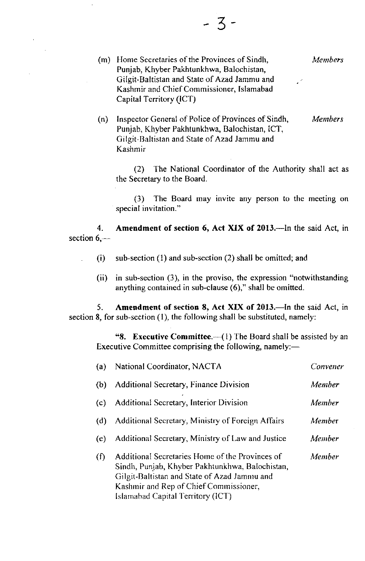(m) Home Secretaries of the Provinces of Sindh, Punjab, Khyber Pakhtunkhwa, Balochistan, Gilgit-Baltistan and State of Azad Jammu and Kashmir and Chief Commissioner, Islamabad Capital Territory (ICT) **Members** 

(n) Inspector General of Police of Provinces of Sindh, Punjab, Khyber Pakhtunkhwa, Balochistan, ICT, Gilgit-Baltistan and State of Azad Jarnmu and Kashmir **Members** 

(2) The National Coordinator of the Authority shall act as the Secretary to the Board.

(3) The Board may invite any person to the mceting on special invitation."

4. section  $6$ ,-Amendment of section 6, Act XIX of 2013.-- In the said Act, in

- (i) sub-section (1) and sub-section (2) shall be omitted; and
- (ii) in sub-section (3), in the proviso, the expression "notwithstanding anything contained in sub-clause  $(6)$ ," shall be omitted.

5. Amendment of section 8, Act XIX of 2013.—In the said Act, in section 8, for sub-section (1), the following shall be substituted, namely:

"8. Executive Committee. $-({}1)$  The Board shall be assisted by an Executive Committee comprising the following, namely: $-$ 

| (a) | National Coordinator, NACTA                                                                                                                                                                                                       | Convener |
|-----|-----------------------------------------------------------------------------------------------------------------------------------------------------------------------------------------------------------------------------------|----------|
| (b) | <b>Additional Secretary, Finance Division</b>                                                                                                                                                                                     | Member   |
| (c) | Additional Secretary, Interior Division                                                                                                                                                                                           | Member   |
| (d) | Additional Secretary, Ministry of Foreign Affairs                                                                                                                                                                                 | Member   |
| (e) | Additional Secretary, Ministry of Law and Justice                                                                                                                                                                                 | Member   |
| (f) | Additional Secretaries Home of the Provinces of<br>Sindh, Punjab, Khyber Pakhtunkhwa, Balochistan,<br>Gilgit-Baltistan and State of Azad Jammu and<br>Kashmir and Rep of Chief Commissioner,<br>Islamabad Capital Territory (ICT) | Member   |